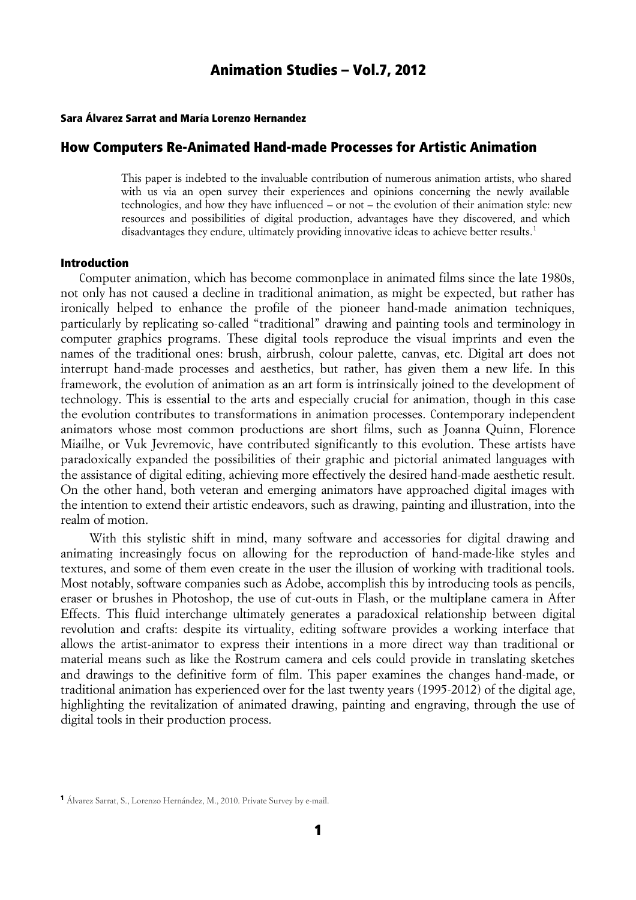#### Sara Álvarez Sarrat and María Lorenzo Hernandez

#### How Computers Re-Animated Hand-made Processes for Artistic Animation

This paper is indebted to the invaluable contribution of numerous animation artists, who shared with us via an open survey their experiences and opinions concerning the newly available technologies, and how they have influenced – or not – the evolution of their animation style: new resources and possibilities of digital production, advantages have they discovered, and which disadvantages they endure, ultimately providing innovative ideas to achieve better results.<sup>[1](#page-0-0)</sup>

#### Introduction

 Computer animation, which has become commonplace in animated films since the late 1980s, not only has not caused a decline in traditional animation, as might be expected, but rather has ironically helped to enhance the profile of the pioneer hand-made animation techniques, particularly by replicating so-called "traditional" drawing and painting tools and terminology in computer graphics programs. These digital tools reproduce the visual imprints and even the names of the traditional ones: brush, airbrush, colour palette, canvas, etc. Digital art does not interrupt hand-made processes and aesthetics, but rather, has given them a new life. In this framework, the evolution of animation as an art form is intrinsically joined to the development of technology. This is essential to the arts and especially crucial for animation, though in this case the evolution contributes to transformations in animation processes. Contemporary independent animators whose most common productions are short films, such as Joanna Quinn, Florence Miailhe, or Vuk Jevremovic, have contributed significantly to this evolution. These artists have paradoxically expanded the possibilities of their graphic and pictorial animated languages with the assistance of digital editing, achieving more effectively the desired hand-made aesthetic result. On the other hand, both veteran and emerging animators have approached digital images with the intention to extend their artistic endeavors, such as drawing, painting and illustration, into the realm of motion.

 With this stylistic shift in mind, many software and accessories for digital drawing and animating increasingly focus on allowing for the reproduction of hand-made-like styles and textures, and some of them even create in the user the illusion of working with traditional tools. Most notably, software companies such as Adobe, accomplish this by introducing tools as pencils, eraser or brushes in Photoshop, the use of cut-outs in Flash, or the multiplane camera in After Effects. This fluid interchange ultimately generates a paradoxical relationship between digital revolution and crafts: despite its virtuality, editing software provides a working interface that allows the artist-animator to express their intentions in a more direct way than traditional or material means such as like the Rostrum camera and cels could provide in translating sketches and drawings to the definitive form of film. This paper examines the changes hand-made, or traditional animation has experienced over for the last twenty years (1995-2012) of the digital age, highlighting the revitalization of animated drawing, painting and engraving, through the use of digital tools in their production process.

<span id="page-0-0"></span><sup>1</sup> Álvarez Sarrat, S., Lorenzo Hernández, M., 2010. Private Survey by e-mail.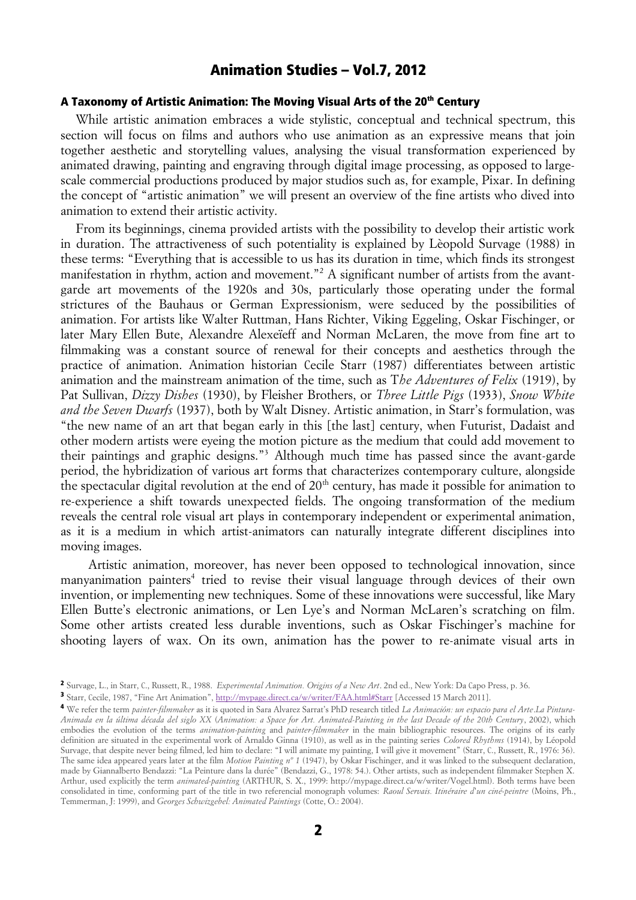#### A Taxonomy of Artistic Animation: The Moving Visual Arts of the 20<sup>th</sup> Century

While artistic animation embraces a wide stylistic, conceptual and technical spectrum, this section will focus on films and authors who use animation as an expressive means that join together aesthetic and storytelling values, analysing the visual transformation experienced by animated drawing, painting and engraving through digital image processing, as opposed to largescale commercial productions produced by major studios such as, for example, Pixar. In defining the concept of "artistic animation" we will present an overview of the fine artists who dived into animation to extend their artistic activity.

From its beginnings, cinema provided artists with the possibility to develop their artistic work in duration. The attractiveness of such potentiality is explained by Lèopold Survage (1988) in these terms: "Everything that is accessible to us has its duration in time, which finds its strongest manifestation in rhythm, action and movement."<sup>[2](#page-1-0)</sup> A significant number of artists from the avantgarde art movements of the 1920s and 30s, particularly those operating under the formal strictures of the Bauhaus or German Expressionism, were seduced by the possibilities of animation. For artists like Walter Ruttman, Hans Richter, Viking Eggeling, Oskar Fischinger, or later Mary Ellen Bute, Alexandre Alexeïeff and Norman McLaren, the move from fine art to filmmaking was a constant source of renewal for their concepts and aesthetics through the practice of animation. Animation historian Cecile Starr (1987) differentiates between artistic animation and the mainstream animation of the time, such as T*he Adventures of Felix* (1919), by Pat Sullivan, *Dizzy Dishes* (1930), by Fleisher Brothers, or *Three Little Pigs* (1933), *Snow White and the Seven Dwarfs* (1937), both by Walt Disney. Artistic animation, in Starr's formulation, was "the new name of an art that began early in this [the last] century, when Futurist, Dadaist and other modern artists were eyeing the motion picture as the medium that could add movement to their paintings and graphic designs."[3](#page-1-1) Although much time has passed since the avant-garde period, the hybridization of various art forms that characterizes contemporary culture, alongside the spectacular digital revolution at the end of  $20<sup>th</sup>$  century, has made it possible for animation to re-experience a shift towards unexpected fields. The ongoing transformation of the medium reveals the central role visual art plays in contemporary independent or experimental animation, as it is a medium in which artist-animators can naturally integrate different disciplines into moving images.

 Artistic animation, moreover, has never been opposed to technological innovation, since manyanimation painters<sup>[4](#page-1-2)</sup> tried to revise their visual language through devices of their own invention, or implementing new techniques. Some of these innovations were successful, like Mary Ellen Butte's electronic animations, or Len Lye's and Norman McLaren's scratching on film. Some other artists created less durable inventions, such as Oskar Fischinger's machine for shooting layers of wax. On its own, animation has the power to re-animate visual arts in

<span id="page-1-0"></span><sup>2</sup> Survage, L., in Starr, C., Russett, R., 1988. *Experimental Animation. Origins of a New Art*. 2nd ed., New York: Da Capo Press, p. 36.

<span id="page-1-1"></span><sup>&</sup>lt;sup>3</sup> Starr, Cecile, 1987, "Fine Art Animation",<http://mypage.direct.ca/w/writer/FAA.html#Starr>[Accessed 15 March 2011].

<span id="page-1-2"></span><sup>4</sup> We refer the term *painter-filmmaker* as it is quoted in Sara Alvarez Sarrat's PhD research titled *La Animación: un espacio para el Arte*.*La Pintura-Animada en la última década del siglo XX* (*Animation: a Space for Art. Animated-Painting in the last Decade of the 20th Century*, 2002), which embodies the evolution of the terms *animation-painting* and *painter-filmmaker* in the main bibliographic resources. The origins of its early definition are situated in the experimental work of Arnaldo Ginna (1910), as well as in the painting series *Colored Rhythms* (1914), by Léopold Survage, that despite never being filmed, led him to declare: "I will animate my painting, I will give it movement" (Starr, C., Russett, R., 1976: 36). The same idea appeared years later at the film *Motion Painting nº 1* (1947), by Oskar Fischinger, and it was linked to the subsequent declaration, made by Giannalberto Bendazzi: "La Peinture dans la durée" (Bendazzi, G., 1978: 54.). Other artists, such as independent filmmaker Stephen X. Arthur, used explicitly the term *animated-painting* (ARTHUR, S. X., 1999: http://mypage.direct.ca/w/writer/Vogel.html). Both terms have been consolidated in time, conforming part of the title in two referencial monograph volumes: *Raoul Servais. Itinéraire d'un ciné-peintre* (Moins, Ph., Temmerman, J: 1999), and *Georges Schwizgebel: Animated Paintings* (Cotte, O.: 2004).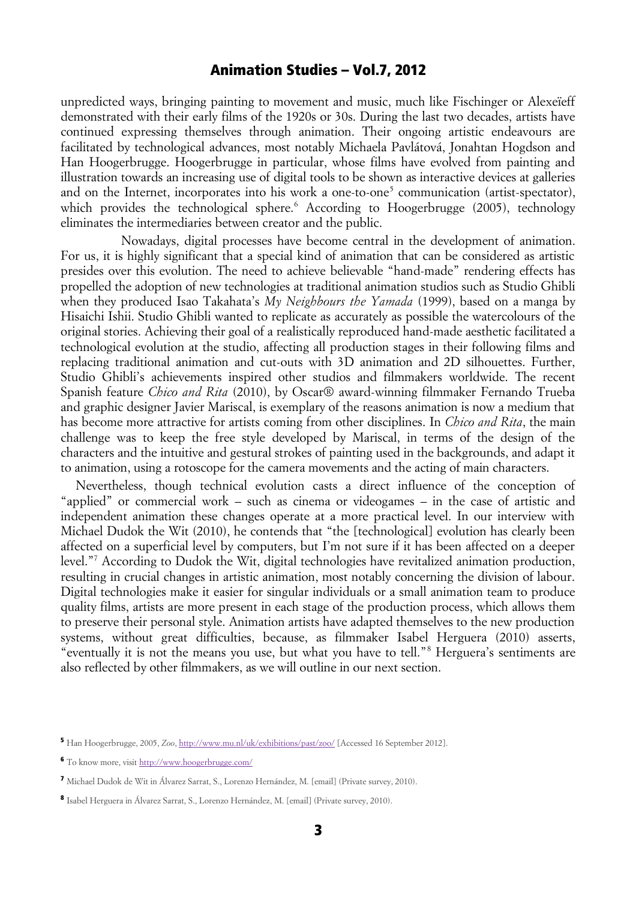unpredicted ways, bringing painting to movement and music, much like Fischinger or Alexeïeff demonstrated with their early films of the 1920s or 30s. During the last two decades, artists have continued expressing themselves through animation. Their ongoing artistic endeavours are facilitated by technological advances, most notably Michaela Pavlátová, Jonahtan Hogdson and Han Hoogerbrugge. Hoogerbrugge in particular, whose films have evolved from painting and illustration towards an increasing use of digital tools to be shown as interactive devices at galleries and on the Internet, incorporates into his work a one-to-one<sup>[5](#page-2-0)</sup> communication (artist-spectator), which provides the technological sphere.<sup>[6](#page-2-1)</sup> According to Hoogerbrugge (2005), technology eliminates the intermediaries between creator and the public.

Nowadays, digital processes have become central in the development of animation. For us, it is highly significant that a special kind of animation that can be considered as artistic presides over this evolution. The need to achieve believable "hand-made" rendering effects has propelled the adoption of new technologies at traditional animation studios such as Studio Ghibli when they produced Isao Takahata's *My Neighbours the Yamada* (1999), based on a manga by Hisaichi Ishii. Studio Ghibli wanted to replicate as accurately as possible the watercolours of the original stories. Achieving their goal of a realistically reproduced hand-made aesthetic facilitated a technological evolution at the studio, affecting all production stages in their following films and replacing traditional animation and cut-outs with 3D animation and 2D silhouettes. Further, Studio Ghibli's achievements inspired other studios and filmmakers worldwide. The recent Spanish feature *Chico and Rita* (2010), by Oscar® award-winning filmmaker Fernando Trueba and graphic designer Javier Mariscal, is exemplary of the reasons animation is now a medium that has become more attractive for artists coming from other disciplines. In *Chico and Rita*, the main challenge was to keep the free style developed by Mariscal, in terms of the design of the characters and the intuitive and gestural strokes of painting used in the backgrounds, and adapt it to animation, using a rotoscope for the camera movements and the acting of main characters.

Nevertheless, though technical evolution casts a direct influence of the conception of "applied" or commercial work – such as cinema or videogames – in the case of artistic and independent animation these changes operate at a more practical level. In our interview with Michael Dudok the Wit (2010), he contends that "the [technological] evolution has clearly been affected on a superficial level by computers, but I'm not sure if it has been affected on a deeper level."[7](#page-2-2) According to Dudok the Wit, digital technologies have revitalized animation production, resulting in crucial changes in artistic animation, most notably concerning the division of labour. Digital technologies make it easier for singular individuals or a small animation team to produce quality films, artists are more present in each stage of the production process, which allows them to preserve their personal style. Animation artists have adapted themselves to the new production systems, without great difficulties, because, as filmmaker Isabel Herguera (2010) asserts, "eventually it is not the means you use, but what you have to tell."[8](#page-2-3) Herguera's sentiments are also reflected by other filmmakers, as we will outline in our next section.

<span id="page-2-0"></span><sup>5</sup> Han Hoogerbrugge, 2005, *Zoo*,<http://www.mu.nl/uk/exhibitions/past/zoo/>[Accessed 16 September 2012].

<span id="page-2-1"></span><sup>6</sup> To know more, visit<http://www.hoogerbrugge.com/>

<span id="page-2-2"></span><sup>7</sup> Michael Dudok de Wit in Álvarez Sarrat, S., Lorenzo Hernández, M. [email] (Private survey, 2010).

<span id="page-2-3"></span><sup>8</sup> Isabel Herguera in Álvarez Sarrat, S., Lorenzo Hernández, M. [email] (Private survey, 2010).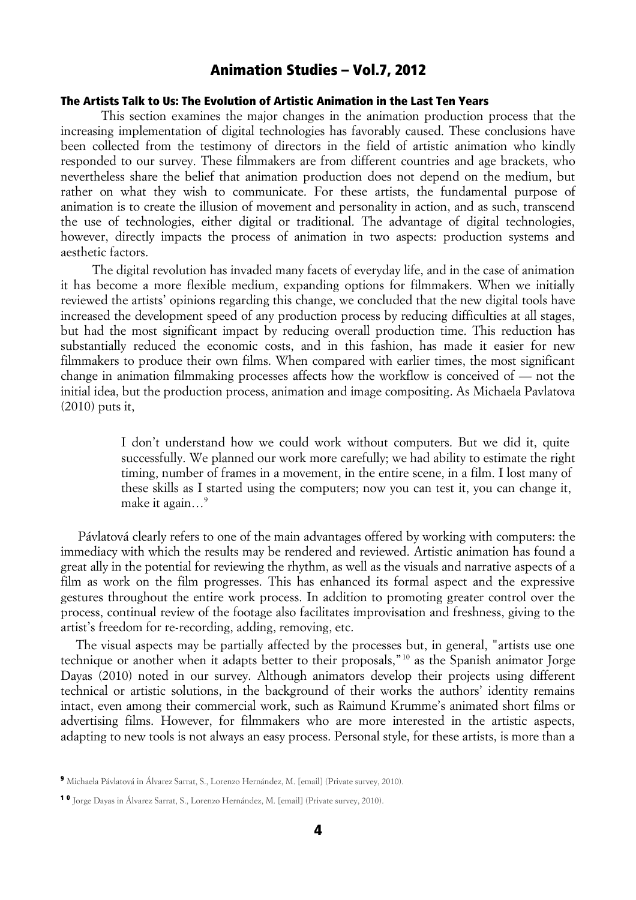#### The Artists Talk to Us: The Evolution of Artistic Animation in the Last Ten Years

 This section examines the major changes in the animation production process that the increasing implementation of digital technologies has favorably caused. These conclusions have been collected from the testimony of directors in the field of artistic animation who kindly responded to our survey. These filmmakers are from different countries and age brackets, who nevertheless share the belief that animation production does not depend on the medium, but rather on what they wish to communicate. For these artists, the fundamental purpose of animation is to create the illusion of movement and personality in action, and as such, transcend the use of technologies, either digital or traditional. The advantage of digital technologies, however, directly impacts the process of animation in two aspects: production systems and aesthetic factors.

 The digital revolution has invaded many facets of everyday life, and in the case of animation it has become a more flexible medium, expanding options for filmmakers. When we initially reviewed the artists' opinions regarding this change, we concluded that the new digital tools have increased the development speed of any production process by reducing difficulties at all stages, but had the most significant impact by reducing overall production time. This reduction has substantially reduced the economic costs, and in this fashion, has made it easier for new filmmakers to produce their own films. When compared with earlier times, the most significant change in animation filmmaking processes affects how the workflow is conceived of — not the initial idea, but the production process, animation and image compositing. As Michaela Pavlatova (2010) puts it,

> I don't understand how we could work without computers. But we did it, quite successfully. We planned our work more carefully; we had ability to estimate the right timing, number of frames in a movement, in the entire scene, in a film. I lost many of these skills as I started using the computers; now you can test it, you can change it, make it again...<sup>[9](#page-3-0)</sup>

 Pávlatová clearly refers to one of the main advantages offered by working with computers: the immediacy with which the results may be rendered and reviewed. Artistic animation has found a great ally in the potential for reviewing the rhythm, as well as the visuals and narrative aspects of a film as work on the film progresses. This has enhanced its formal aspect and the expressive gestures throughout the entire work process. In addition to promoting greater control over the process, continual review of the footage also facilitates improvisation and freshness, giving to the artist's freedom for re-recording, adding, removing, etc.

The visual aspects may be partially affected by the processes but, in general, "artists use one technique or another when it adapts better to their proposals,"[10](#page-3-1) as the Spanish animator Jorge Dayas (2010) noted in our survey. Although animators develop their projects using different technical or artistic solutions, in the background of their works the authors' identity remains intact, even among their commercial work, such as Raimund Krumme's animated short films or advertising films. However, for filmmakers who are more interested in the artistic aspects, adapting to new tools is not always an easy process. Personal style, for these artists, is more than a

<span id="page-3-0"></span><sup>9</sup> Michaela Pávlatová in Álvarez Sarrat, S., Lorenzo Hernández, M. [email] (Private survey, 2010).

<span id="page-3-1"></span><sup>1 0</sup> Jorge Dayas in Álvarez Sarrat, S., Lorenzo Hernández, M. [email] (Private survey, 2010).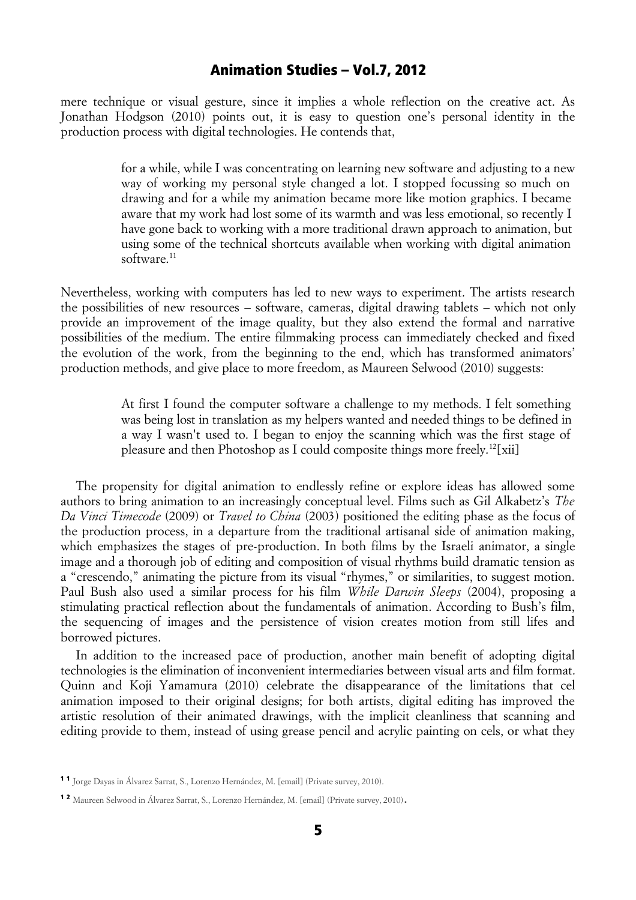mere technique or visual gesture, since it implies a whole reflection on the creative act. As Jonathan Hodgson (2010) points out, it is easy to question one's personal identity in the production process with digital technologies. He contends that,

> for a while, while I was concentrating on learning new software and adjusting to a new way of working my personal style changed a lot. I stopped focussing so much on drawing and for a while my animation became more like motion graphics. I became aware that my work had lost some of its warmth and was less emotional, so recently I have gone back to working with a more traditional drawn approach to animation, but using some of the technical shortcuts available when working with digital animation software.<sup>[11](#page-4-0)</sup>

Nevertheless, working with computers has led to new ways to experiment. The artists research the possibilities of new resources – software, cameras, digital drawing tablets – which not only provide an improvement of the image quality, but they also extend the formal and narrative possibilities of the medium. The entire filmmaking process can immediately checked and fixed the evolution of the work, from the beginning to the end, which has transformed animators' production methods, and give place to more freedom, as Maureen Selwood (2010) suggests:

> At first I found the computer software a challenge to my methods. I felt something was being lost in translation as my helpers wanted and needed things to be defined in a way I wasn't used to. I began to enjoy the scanning which was the first stage of pleasure and then Photoshop as I could composite things more freely.<sup>[12](#page-4-1)</sup>[xii]

The propensity for digital animation to endlessly refine or explore ideas has allowed some authors to bring animation to an increasingly conceptual level. Films such as Gil Alkabetz's *The Da Vinci Timecode* (2009) or *Travel to China* (2003) positioned the editing phase as the focus of the production process, in a departure from the traditional artisanal side of animation making, which emphasizes the stages of pre-production. In both films by the Israeli animator, a single image and a thorough job of editing and composition of visual rhythms build dramatic tension as a "crescendo," animating the picture from its visual "rhymes," or similarities, to suggest motion. Paul Bush also used a similar process for his film *While Darwin Sleeps* (2004), proposing a stimulating practical reflection about the fundamentals of animation. According to Bush's film, the sequencing of images and the persistence of vision creates motion from still lifes and borrowed pictures.

In addition to the increased pace of production, another main benefit of adopting digital technologies is the elimination of inconvenient intermediaries between visual arts and film format. Quinn and Koji Yamamura (2010) celebrate the disappearance of the limitations that cel animation imposed to their original designs; for both artists, digital editing has improved the artistic resolution of their animated drawings, with the implicit cleanliness that scanning and editing provide to them, instead of using grease pencil and acrylic painting on cels, or what they

<span id="page-4-0"></span><sup>1 1</sup> Jorge Dayas in Álvarez Sarrat, S., Lorenzo Hernández, M. [email] (Private survey, 2010).

<span id="page-4-1"></span><sup>1 2</sup> Maureen Selwood in Álvarez Sarrat, S., Lorenzo Hernández, M. [email] (Private survey, 2010).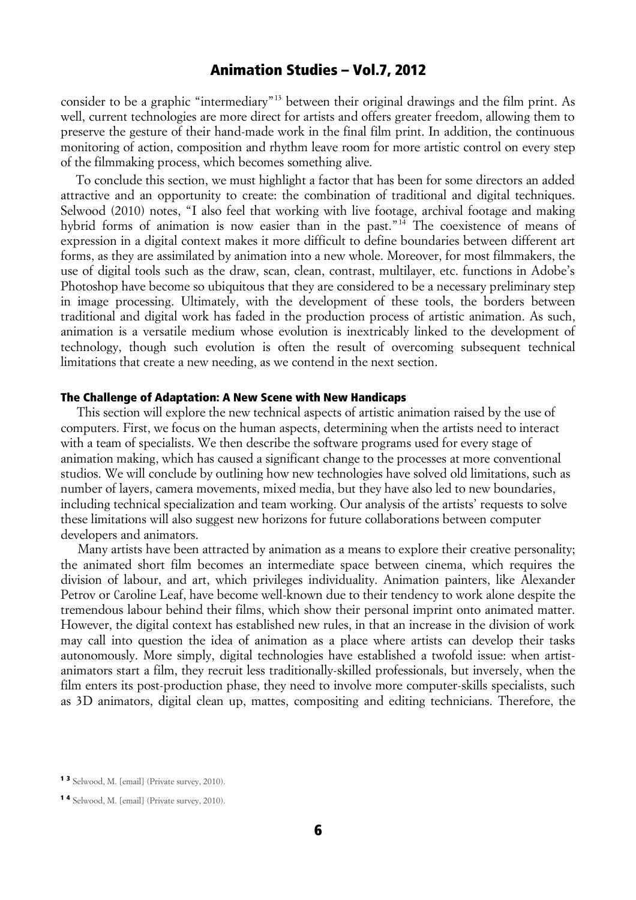consider to be a graphic "intermediary"[13](#page-5-0) between their original drawings and the film print. As well, current technologies are more direct for artists and offers greater freedom, allowing them to preserve the gesture of their hand-made work in the final film print. In addition, the continuous monitoring of action, composition and rhythm leave room for more artistic control on every step of the filmmaking process, which becomes something alive.

To conclude this section, we must highlight a factor that has been for some directors an added attractive and an opportunity to create: the combination of traditional and digital techniques. Selwood (2010) notes, "I also feel that working with live footage, archival footage and making hybrid forms of animation is now easier than in the past."[14](#page-5-1) The coexistence of means of expression in a digital context makes it more difficult to define boundaries between different art forms, as they are assimilated by animation into a new whole. Moreover, for most filmmakers, the use of digital tools such as the draw, scan, clean, contrast, multilayer, etc. functions in Adobe's Photoshop have become so ubiquitous that they are considered to be a necessary preliminary step in image processing. Ultimately, with the development of these tools, the borders between traditional and digital work has faded in the production process of artistic animation. As such, animation is a versatile medium whose evolution is inextricably linked to the development of technology, though such evolution is often the result of overcoming subsequent technical limitations that create a new needing, as we contend in the next section.

#### The Challenge of Adaptation: A New Scene with New Handicaps

 This section will explore the new technical aspects of artistic animation raised by the use of computers. First, we focus on the human aspects, determining when the artists need to interact with a team of specialists. We then describe the software programs used for every stage of animation making, which has caused a significant change to the processes at more conventional studios. We will conclude by outlining how new technologies have solved old limitations, such as number of layers, camera movements, mixed media, but they have also led to new boundaries, including technical specialization and team working. Our analysis of the artists' requests to solve these limitations will also suggest new horizons for future collaborations between computer developers and animators.

 Many artists have been attracted by animation as a means to explore their creative personality; the animated short film becomes an intermediate space between cinema, which requires the division of labour, and art, which privileges individuality. Animation painters, like Alexander Petrov or Caroline Leaf, have become well-known due to their tendency to work alone despite the tremendous labour behind their films, which show their personal imprint onto animated matter. However, the digital context has established new rules, in that an increase in the division of work may call into question the idea of animation as a place where artists can develop their tasks autonomously. More simply, digital technologies have established a twofold issue: when artistanimators start a film, they recruit less traditionally-skilled professionals, but inversely, when the film enters its post-production phase, they need to involve more computer-skills specialists, such as 3D animators, digital clean up, mattes, compositing and editing technicians. Therefore, the

<span id="page-5-0"></span><sup>1 3</sup> Selwood, M. [email] (Private survey, 2010).

<span id="page-5-1"></span><sup>1 4</sup> Selwood, M. [email] (Private survey, 2010).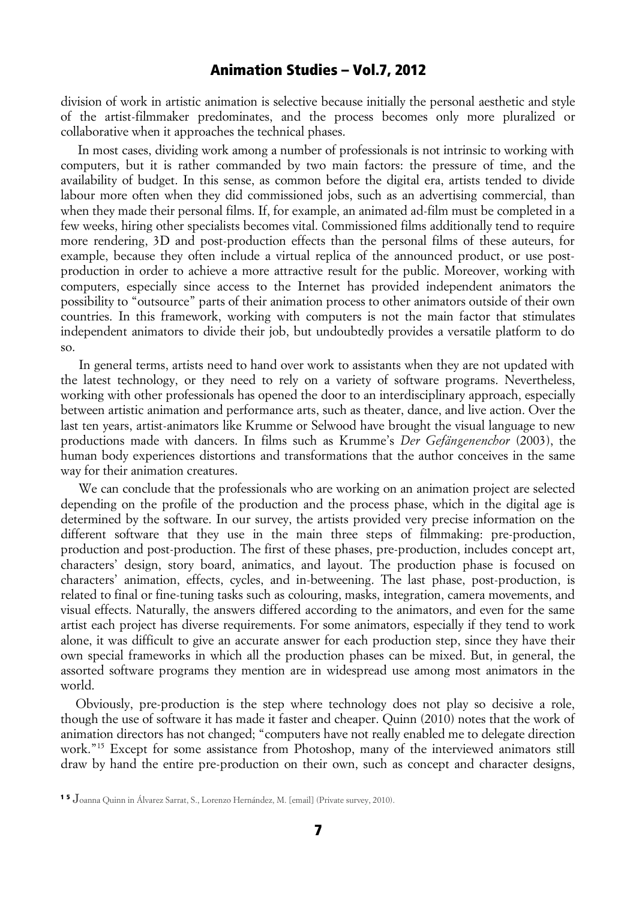division of work in artistic animation is selective because initially the personal aesthetic and style of the artist-filmmaker predominates, and the process becomes only more pluralized or collaborative when it approaches the technical phases.

 In most cases, dividing work among a number of professionals is not intrinsic to working with computers, but it is rather commanded by two main factors: the pressure of time, and the availability of budget. In this sense, as common before the digital era, artists tended to divide labour more often when they did commissioned jobs, such as an advertising commercial, than when they made their personal films. If, for example, an animated ad-film must be completed in a few weeks, hiring other specialists becomes vital. Commissioned films additionally tend to require more rendering, 3D and post-production effects than the personal films of these auteurs, for example, because they often include a virtual replica of the announced product, or use postproduction in order to achieve a more attractive result for the public. Moreover, working with computers, especially since access to the Internet has provided independent animators the possibility to "outsource" parts of their animation process to other animators outside of their own countries. In this framework, working with computers is not the main factor that stimulates independent animators to divide their job, but undoubtedly provides a versatile platform to do so.

 In general terms, artists need to hand over work to assistants when they are not updated with the latest technology, or they need to rely on a variety of software programs. Nevertheless, working with other professionals has opened the door to an interdisciplinary approach, especially between artistic animation and performance arts, such as theater, dance, and live action. Over the last ten years, artist-animators like Krumme or Selwood have brought the visual language to new productions made with dancers. In films such as Krumme's *Der Gefängenenchor* (2003), the human body experiences distortions and transformations that the author conceives in the same way for their animation creatures.

 We can conclude that the professionals who are working on an animation project are selected depending on the profile of the production and the process phase, which in the digital age is determined by the software. In our survey, the artists provided very precise information on the different software that they use in the main three steps of filmmaking: pre-production, production and post-production. The first of these phases, pre-production, includes concept art, characters' design, story board, animatics, and layout. The production phase is focused on characters' animation, effects, cycles, and in-betweening. The last phase, post-production, is related to final or fine-tuning tasks such as colouring, masks, integration, camera movements, and visual effects. Naturally, the answers differed according to the animators, and even for the same artist each project has diverse requirements. For some animators, especially if they tend to work alone, it was difficult to give an accurate answer for each production step, since they have their own special frameworks in which all the production phases can be mixed. But, in general, the assorted software programs they mention are in widespread use among most animators in the world.

Obviously, pre-production is the step where technology does not play so decisive a role, though the use of software it has made it faster and cheaper. Quinn (2010) notes that the work of animation directors has not changed; "computers have not really enabled me to delegate direction work."<sup>[15](#page-6-0)</sup> Except for some assistance from Photoshop, many of the interviewed animators still draw by hand the entire pre-production on their own, such as concept and character designs,

<span id="page-6-0"></span><sup>1 5</sup> Joanna Quinn in Álvarez Sarrat, S., Lorenzo Hernández, M. [email] (Private survey, 2010).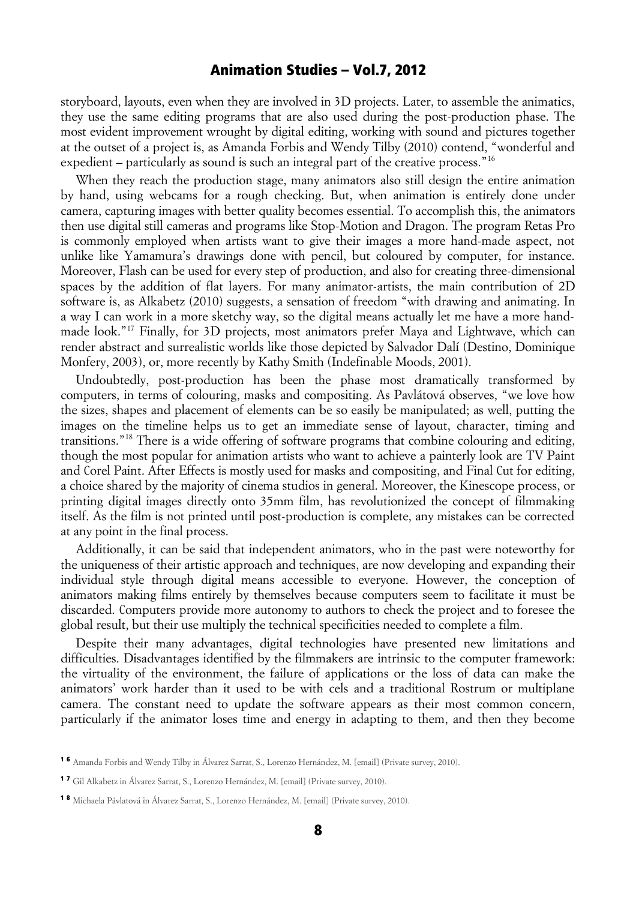storyboard, layouts, even when they are involved in 3D projects. Later, to assemble the animatics, they use the same editing programs that are also used during the post-production phase. The most evident improvement wrought by digital editing, working with sound and pictures together at the outset of a project is, as Amanda Forbis and Wendy Tilby (2010) contend, "wonderful and expedient – particularly as sound is such an integral part of the creative process."<sup>[16](#page-7-0)</sup>

When they reach the production stage, many animators also still design the entire animation by hand, using webcams for a rough checking. But, when animation is entirely done under camera, capturing images with better quality becomes essential. To accomplish this, the animators then use digital still cameras and programs like Stop-Motion and Dragon. The program Retas Pro is commonly employed when artists want to give their images a more hand-made aspect, not unlike like Yamamura's drawings done with pencil, but coloured by computer, for instance. Moreover, Flash can be used for every step of production, and also for creating three-dimensional spaces by the addition of flat layers. For many animator-artists, the main contribution of 2D software is, as Alkabetz (2010) suggests, a sensation of freedom "with drawing and animating. In a way I can work in a more sketchy way, so the digital means actually let me have a more handmade look."[17](#page-7-1) Finally, for 3D projects, most animators prefer Maya and Lightwave, which can render abstract and surrealistic worlds like those depicted by Salvador Dalí (Destino, Dominique Monfery, 2003), or, more recently by Kathy Smith (Indefinable Moods, 2001).

Undoubtedly, post-production has been the phase most dramatically transformed by computers, in terms of colouring, masks and compositing. As Pavlátová observes, "we love how the sizes, shapes and placement of elements can be so easily be manipulated; as well, putting the images on the timeline helps us to get an immediate sense of layout, character, timing and transitions."[18](#page-7-2) There is a wide offering of software programs that combine colouring and editing, though the most popular for animation artists who want to achieve a painterly look are TV Paint and Corel Paint. After Effects is mostly used for masks and compositing, and Final Cut for editing, a choice shared by the majority of cinema studios in general. Moreover, the Kinescope process, or printing digital images directly onto 35mm film, has revolutionized the concept of filmmaking itself. As the film is not printed until post-production is complete, any mistakes can be corrected at any point in the final process.

Additionally, it can be said that independent animators, who in the past were noteworthy for the uniqueness of their artistic approach and techniques, are now developing and expanding their individual style through digital means accessible to everyone. However, the conception of animators making films entirely by themselves because computers seem to facilitate it must be discarded. Computers provide more autonomy to authors to check the project and to foresee the global result, but their use multiply the technical specificities needed to complete a film.

Despite their many advantages, digital technologies have presented new limitations and difficulties. Disadvantages identified by the filmmakers are intrinsic to the computer framework: the virtuality of the environment, the failure of applications or the loss of data can make the animators' work harder than it used to be with cels and a traditional Rostrum or multiplane camera. The constant need to update the software appears as their most common concern, particularly if the animator loses time and energy in adapting to them, and then they become

<span id="page-7-0"></span><sup>1 6</sup> Amanda Forbis and Wendy Tilby in Álvarez Sarrat, S., Lorenzo Hernández, M. [email] (Private survey, 2010).

<span id="page-7-1"></span><sup>1 7</sup> Gil Alkabetz in Álvarez Sarrat, S., Lorenzo Hernández, M. [email] (Private survey, 2010).

<span id="page-7-2"></span><sup>1 8</sup> Michaela Pávlatová in Álvarez Sarrat, S., Lorenzo Hernández, M. [email] (Private survey, 2010).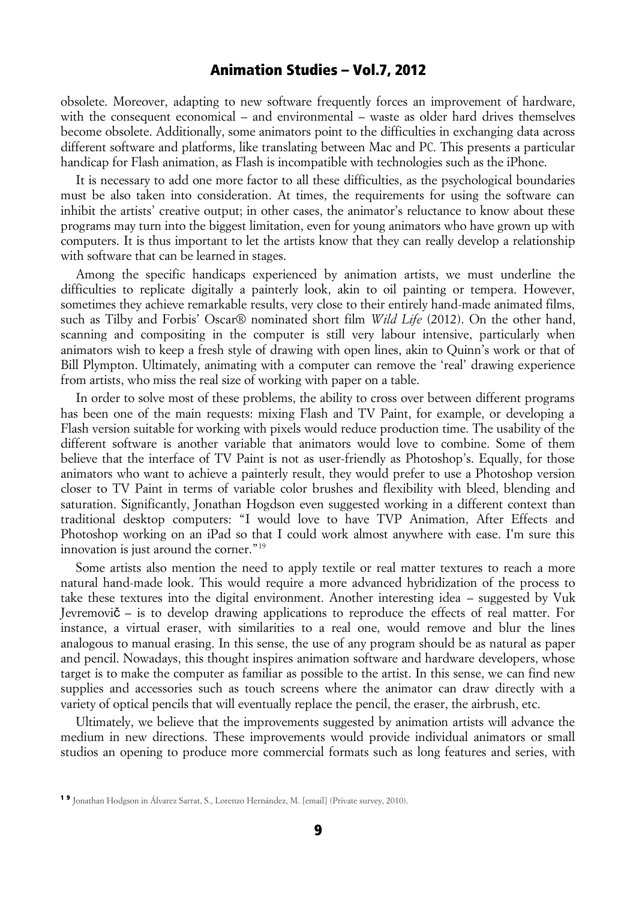obsolete. Moreover, adapting to new software frequently forces an improvement of hardware, with the consequent economical – and environmental – waste as older hard drives themselves become obsolete. Additionally, some animators point to the difficulties in exchanging data across different software and platforms, like translating between Mac and PC. This presents a particular handicap for Flash animation, as Flash is incompatible with technologies such as the iPhone.

It is necessary to add one more factor to all these difficulties, as the psychological boundaries must be also taken into consideration. At times, the requirements for using the software can inhibit the artists' creative output; in other cases, the animator's reluctance to know about these programs may turn into the biggest limitation, even for young animators who have grown up with computers. It is thus important to let the artists know that they can really develop a relationship with software that can be learned in stages.

Among the specific handicaps experienced by animation artists, we must underline the difficulties to replicate digitally a painterly look, akin to oil painting or tempera. However, sometimes they achieve remarkable results, very close to their entirely hand-made animated films, such as Tilby and Forbis' Oscar® nominated short film *Wild Life* (2012). On the other hand, scanning and compositing in the computer is still very labour intensive, particularly when animators wish to keep a fresh style of drawing with open lines, akin to Quinn's work or that of Bill Plympton. Ultimately, animating with a computer can remove the 'real' drawing experience from artists, who miss the real size of working with paper on a table.

In order to solve most of these problems, the ability to cross over between different programs has been one of the main requests: mixing Flash and TV Paint, for example, or developing a Flash version suitable for working with pixels would reduce production time. The usability of the different software is another variable that animators would love to combine. Some of them believe that the interface of TV Paint is not as user-friendly as Photoshop's. Equally, for those animators who want to achieve a painterly result, they would prefer to use a Photoshop version closer to TV Paint in terms of variable color brushes and flexibility with bleed, blending and saturation. Significantly, Jonathan Hogdson even suggested working in a different context than traditional desktop computers: "I would love to have TVP Animation, After Effects and Photoshop working on an iPad so that I could work almost anywhere with ease. I'm sure this innovation is just around the corner."<sup>[19](#page-8-0)</sup>

Some artists also mention the need to apply textile or real matter textures to reach a more natural hand-made look. This would require a more advanced hybridization of the process to take these textures into the digital environment. Another interesting idea – suggested by Vuk Jevremovi $\check{\mathbf{c}}$  – is to develop drawing applications to reproduce the effects of real matter. For instance, a virtual eraser, with similarities to a real one, would remove and blur the lines analogous to manual erasing. In this sense, the use of any program should be as natural as paper and pencil. Nowadays, this thought inspires animation software and hardware developers, whose target is to make the computer as familiar as possible to the artist. In this sense, we can find new supplies and accessories such as touch screens where the animator can draw directly with a variety of optical pencils that will eventually replace the pencil, the eraser, the airbrush, etc.

Ultimately, we believe that the improvements suggested by animation artists will advance the medium in new directions. These improvements would provide individual animators or small studios an opening to produce more commercial formats such as long features and series, with

<span id="page-8-0"></span><sup>1 9</sup> Jonathan Hodgson in Álvarez Sarrat, S., Lorenzo Hernández, M. [email] (Private survey, 2010).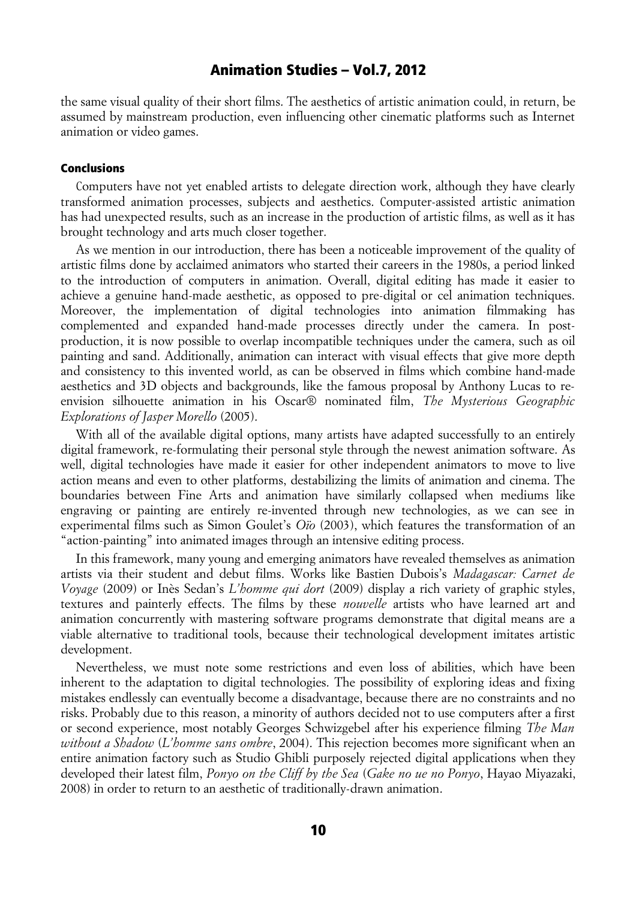the same visual quality of their short films. The aesthetics of artistic animation could, in return, be assumed by mainstream production, even influencing other cinematic platforms such as Internet animation or video games.

#### Conclusions

Computers have not yet enabled artists to delegate direction work, although they have clearly transformed animation processes, subjects and aesthetics. Computer-assisted artistic animation has had unexpected results, such as an increase in the production of artistic films, as well as it has brought technology and arts much closer together.

As we mention in our introduction, there has been a noticeable improvement of the quality of artistic films done by acclaimed animators who started their careers in the 1980s, a period linked to the introduction of computers in animation. Overall, digital editing has made it easier to achieve a genuine hand-made aesthetic, as opposed to pre-digital or cel animation techniques. Moreover, the implementation of digital technologies into animation filmmaking has complemented and expanded hand-made processes directly under the camera. In postproduction, it is now possible to overlap incompatible techniques under the camera, such as oil painting and sand. Additionally, animation can interact with visual effects that give more depth and consistency to this invented world, as can be observed in films which combine hand-made aesthetics and 3D objects and backgrounds, like the famous proposal by Anthony Lucas to reenvision silhouette animation in his Oscar® nominated film, *The Mysterious Geographic Explorations of Jasper Morello* (2005).

With all of the available digital options, many artists have adapted successfully to an entirely digital framework, re-formulating their personal style through the newest animation software. As well, digital technologies have made it easier for other independent animators to move to live action means and even to other platforms, destabilizing the limits of animation and cinema. The boundaries between Fine Arts and animation have similarly collapsed when mediums like engraving or painting are entirely re-invented through new technologies, as we can see in experimental films such as Simon Goulet's *Oïo* (2003), which features the transformation of an "action-painting" into animated images through an intensive editing process.

In this framework, many young and emerging animators have revealed themselves as animation artists via their student and debut films. Works like Bastien Dubois's *Madagascar: Carnet de Voyage* (2009) or Inès Sedan's *L'homme qui dort* (2009) display a rich variety of graphic styles, textures and painterly effects. The films by these *nouvelle* artists who have learned art and animation concurrently with mastering software programs demonstrate that digital means are a viable alternative to traditional tools, because their technological development imitates artistic development.

Nevertheless, we must note some restrictions and even loss of abilities, which have been inherent to the adaptation to digital technologies. The possibility of exploring ideas and fixing mistakes endlessly can eventually become a disadvantage, because there are no constraints and no risks. Probably due to this reason, a minority of authors decided not to use computers after a first or second experience, most notably Georges Schwizgebel after his experience filming *The Man without a Shadow* (*L'homme sans ombre*, 2004). This rejection becomes more significant when an entire animation factory such as Studio Ghibli purposely rejected digital applications when they developed their latest film, *Ponyo on the Cliff by the Sea* (*Gake no ue no Ponyo*, Hayao Miyazaki, 2008) in order to return to an aesthetic of traditionally-drawn animation.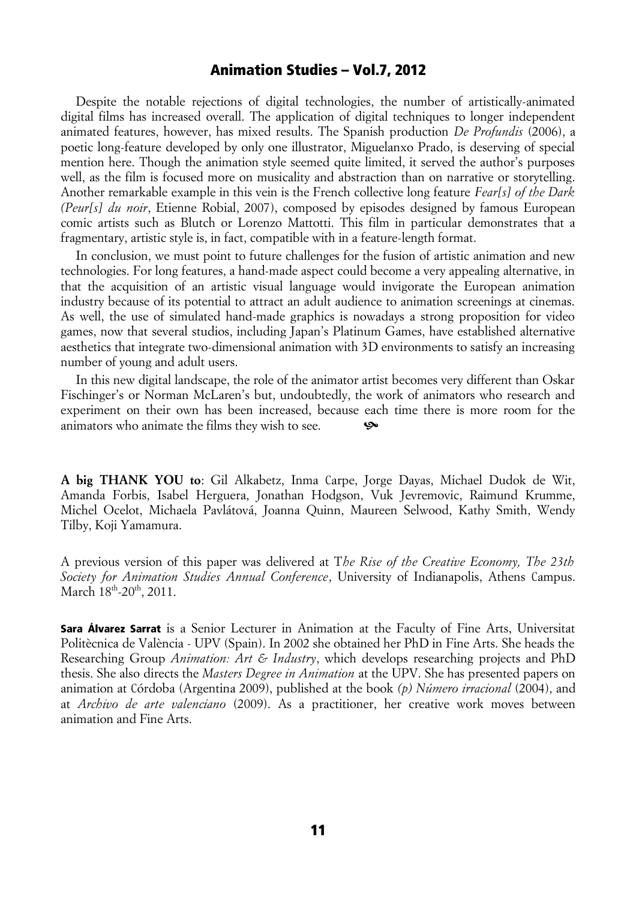Despite the notable rejections of digital technologies, the number of artistically-animated digital films has increased overall. The application of digital techniques to longer independent animated features, however, has mixed results. The Spanish production *De Profundis* (2006), a poetic long-feature developed by only one illustrator, Miguelanxo Prado, is deserving of special mention here. Though the animation style seemed quite limited, it served the author's purposes well, as the film is focused more on musicality and abstraction than on narrative or storytelling. Another remarkable example in this vein is the French collective long feature *Fear[s] of the Dark (Peur[s] du noir*, Etienne Robial, 2007), composed by episodes designed by famous European comic artists such as Blutch or Lorenzo Mattotti. This film in particular demonstrates that a fragmentary, artistic style is, in fact, compatible with in a feature-length format.

In conclusion, we must point to future challenges for the fusion of artistic animation and new technologies. For long features, a hand-made aspect could become a very appealing alternative, in that the acquisition of an artistic visual language would invigorate the European animation industry because of its potential to attract an adult audience to animation screenings at cinemas. As well, the use of simulated hand-made graphics is nowadays a strong proposition for video games, now that several studios, including Japan's Platinum Games, have established alternative aesthetics that integrate two-dimensional animation with 3D environments to satisfy an increasing number of young and adult users.

In this new digital landscape, the role of the animator artist becomes very different than Oskar Fischinger's or Norman McLaren's but, undoubtedly, the work of animators who research and experiment on their own has been increased, because each time there is more room for the animators who animate the films they wish to see.  $\bullet\bullet$ 

**A big THANK YOU to**: Gil Alkabetz, Inma Carpe, Jorge Dayas, Michael Dudok de Wit, Amanda Forbis, Isabel Herguera, Jonathan Hodgson, Vuk Jevremovic, Raimund Krumme, Michel Ocelot, Michaela Pavlátová, Joanna Quinn, Maureen Selwood, Kathy Smith, Wendy Tilby, Koji Yamamura.

A previous version of this paper was delivered at T*he Rise of the Creative Economy, The 23th Society for Animation Studies Annual Conference*, University of Indianapolis, Athens Campus. March  $18^{\text{th}}$ -20<sup>th</sup>, 2011.

**Sara Álvarez Sarrat** is a Senior Lecturer in Animation at the Faculty of Fine Arts, Universitat Politècnica de València - UPV (Spain). In 2002 she obtained her PhD in Fine Arts. She heads the Researching Group *Animation: Art & Industry*, which develops researching projects and PhD thesis. She also directs the *Masters Degree in Animation* at the UPV. She has presented papers on animation at Córdoba (Argentina 2009), published at the book *(p) Número irracional* (2004), and at *Archivo de arte valenciano* (2009). As a practitioner, her creative work moves between animation and Fine Arts.